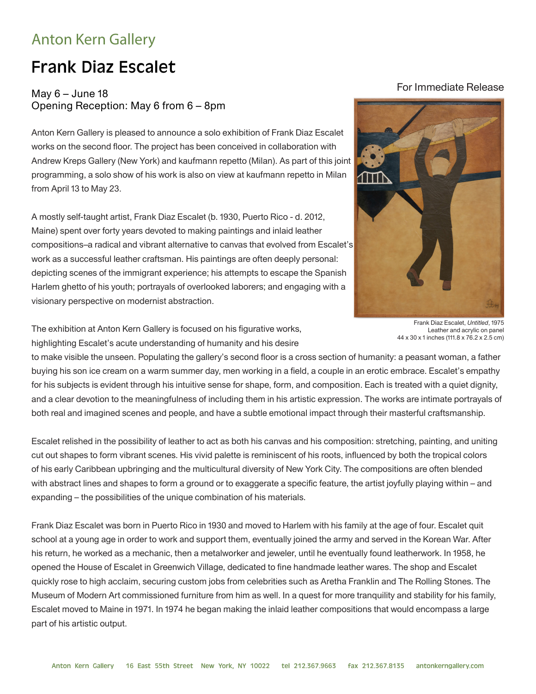## Anton Kern Gallery

## Frank Diaz Escalet

## May  $6 -$  June 18 Opening Reception: May 6 from 6 – 8pm

Anton Kern Gallery is pleased to announce a solo exhibition of Frank Diaz Escalet works on the second floor. The project has been conceived in collaboration with Andrew Kreps Gallery (New York) and kaufmann repetto (Milan). As part of this joint programming, a solo show of his work is also on view at kaufmann repetto in Milan from April 13 to May 23.

A mostly self-taught artist, Frank Diaz Escalet (b. 1930, Puerto Rico - d. 2012, Maine) spent over forty years devoted to making paintings and inlaid leather compositions–a radical and vibrant alternative to canvas that evolved from Escalet's work as a successful leather craftsman. His paintings are often deeply personal: depicting scenes of the immigrant experience; his attempts to escape the Spanish Harlem ghetto of his youth; portrayals of overlooked laborers; and engaging with a visionary perspective on modernist abstraction.

## For Immediate Release



Frank Diaz Escalet, *Untitled*, 1975 Leather and acrylic on panel 44 x 30 x 1 inches (111.8 x 76.2 x 2.5 cm)

The exhibition at Anton Kern Gallery is focused on his figurative works, highlighting Escalet's acute understanding of humanity and his desire

to make visible the unseen. Populating the gallery's second floor is a cross section of humanity: a peasant woman, a father buying his son ice cream on a warm summer day, men working in a field, a couple in an erotic embrace. Escalet's empathy for his subjects is evident through his intuitive sense for shape, form, and composition. Each is treated with a quiet dignity, and a clear devotion to the meaningfulness of including them in his artistic expression. The works are intimate portrayals of both real and imagined scenes and people, and have a subtle emotional impact through their masterful craftsmanship.

Escalet relished in the possibility of leather to act as both his canvas and his composition: stretching, painting, and uniting cut out shapes to form vibrant scenes. His vivid palette is reminiscent of his roots, influenced by both the tropical colors of his early Caribbean upbringing and the multicultural diversity of New York City. The compositions are often blended with abstract lines and shapes to form a ground or to exaggerate a specific feature, the artist joyfully playing within – and expanding – the possibilities of the unique combination of his materials.

Frank Diaz Escalet was born in Puerto Rico in 1930 and moved to Harlem with his family at the age of four. Escalet quit school at a young age in order to work and support them, eventually joined the army and served in the Korean War. After his return, he worked as a mechanic, then a metalworker and jeweler, until he eventually found leatherwork. In 1958, he opened the House of Escalet in Greenwich Village, dedicated to fine handmade leather wares. The shop and Escalet quickly rose to high acclaim, securing custom jobs from celebrities such as Aretha Franklin and The Rolling Stones. The Museum of Modern Art commissioned furniture from him as well. In a quest for more tranquility and stability for his family, Escalet moved to Maine in 1971. In 1974 he began making the inlaid leather compositions that would encompass a large part of his artistic output.